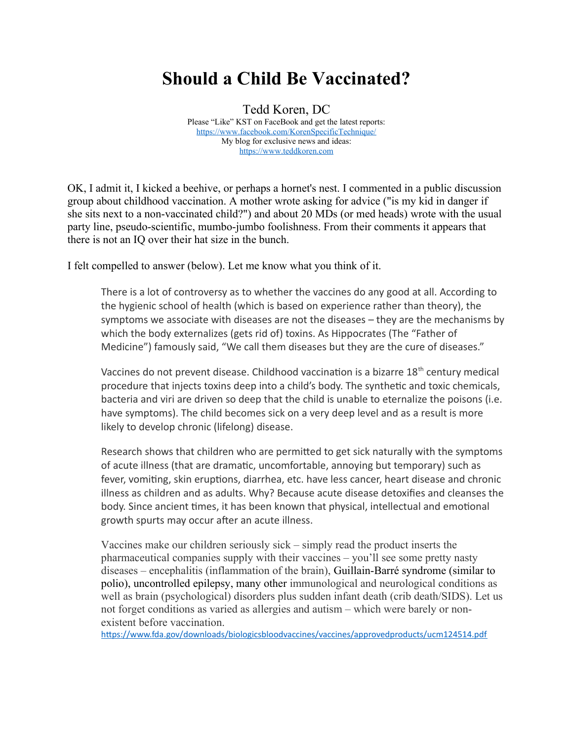## **Should a Child Be Vaccinated?**

Tedd Koren, DC Please "Like" KST on FaceBook and get the latest reports: <https://www.facebook.com/KorenSpecificTechnique/> My blog for exclusive news and ideas: [https://www.teddkoren.com](https://www.teddkoren.com/)

OK, I admit it, I kicked a beehive, or perhaps a hornet's nest. I commented in a public discussion group about childhood vaccination. A mother wrote asking for advice ("is my kid in danger if she sits next to a non-vaccinated child?") and about 20 MDs (or med heads) wrote with the usual party line, pseudo-scientific, mumbo-jumbo foolishness. From their comments it appears that there is not an IQ over their hat size in the bunch.

I felt compelled to answer (below). Let me know what you think of it.

There is a lot of controversy as to whether the vaccines do any good at all. According to the hygienic school of health (which is based on experience rather than theory), the symptoms we associate with diseases are not the diseases – they are the mechanisms by which the body externalizes (gets rid of) toxins. As Hippocrates (The "Father of Medicine") famously said, "We call them diseases but they are the cure of diseases."

Vaccines do not prevent disease. Childhood vaccination is a bizarre 18<sup>th</sup> century medical procedure that injects toxins deep into a child's body. The synthetic and toxic chemicals, bacteria and viri are driven so deep that the child is unable to eternalize the poisons (i.e. have symptoms). The child becomes sick on a very deep level and as a result is more likely to develop chronic (lifelong) disease.

Research shows that children who are permitted to get sick naturally with the symptoms of acute illness (that are dramatic, uncomfortable, annoying but temporary) such as fever, vomiting, skin eruptions, diarrhea, etc. have less cancer, heart disease and chronic illness as children and as adults. Why? Because acute disease detoxifies and cleanses the body. Since ancient times, it has been known that physical, intellectual and emotional growth spurts may occur after an acute illness.

Vaccines make our children seriously sick – simply read the product inserts the pharmaceutical companies supply with their vaccines – you'll see some pretty nasty diseases – encephalitis (inflammation of the brain), Guillain-Barré syndrome (similar to polio), uncontrolled epilepsy, many other immunological and neurological conditions as well as brain (psychological) disorders plus sudden infant death (crib death/SIDS). Let us not forget conditions as varied as allergies and autism – which were barely or nonexistent before vaccination.

<https://www.fda.gov/downloads/biologicsbloodvaccines/vaccines/approvedproducts/ucm124514.pdf>